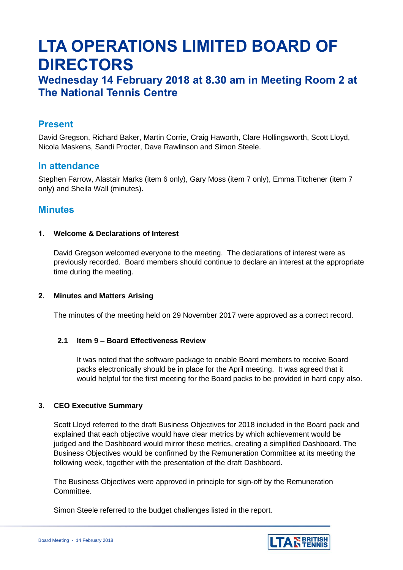# **LTA OPERATIONS LIMITED BOARD OF DIRECTORS**

# **Wednesday 14 February 2018 at 8.30 am in Meeting Room 2 at The National Tennis Centre**

# **Present**

David Gregson, Richard Baker, Martin Corrie, Craig Haworth, Clare Hollingsworth, Scott Lloyd, Nicola Maskens, Sandi Procter, Dave Rawlinson and Simon Steele.

# **In attendance**

Stephen Farrow, Alastair Marks (item 6 only), Gary Moss (item 7 only), Emma Titchener (item 7 only) and Sheila Wall (minutes).

# **Minutes**

# **1. Welcome & Declarations of Interest**

David Gregson welcomed everyone to the meeting. The declarations of interest were as previously recorded. Board members should continue to declare an interest at the appropriate time during the meeting.

## **2. Minutes and Matters Arising**

The minutes of the meeting held on 29 November 2017 were approved as a correct record.

## **2.1 Item 9 – Board Effectiveness Review**

It was noted that the software package to enable Board members to receive Board packs electronically should be in place for the April meeting. It was agreed that it would helpful for the first meeting for the Board packs to be provided in hard copy also.

# **3. CEO Executive Summary**

Scott Lloyd referred to the draft Business Objectives for 2018 included in the Board pack and explained that each objective would have clear metrics by which achievement would be judged and the Dashboard would mirror these metrics, creating a simplified Dashboard. The Business Objectives would be confirmed by the Remuneration Committee at its meeting the following week, together with the presentation of the draft Dashboard.

The Business Objectives were approved in principle for sign-off by the Remuneration Committee.

Simon Steele referred to the budget challenges listed in the report.

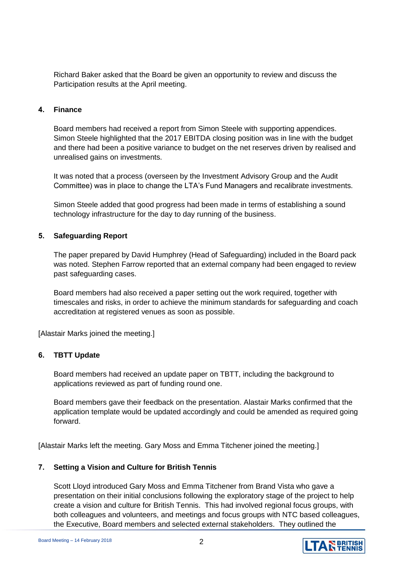Richard Baker asked that the Board be given an opportunity to review and discuss the Participation results at the April meeting.

# **4. Finance**

Board members had received a report from Simon Steele with supporting appendices. Simon Steele highlighted that the 2017 EBITDA closing position was in line with the budget and there had been a positive variance to budget on the net reserves driven by realised and unrealised gains on investments.

It was noted that a process (overseen by the Investment Advisory Group and the Audit Committee) was in place to change the LTA's Fund Managers and recalibrate investments.

Simon Steele added that good progress had been made in terms of establishing a sound technology infrastructure for the day to day running of the business.

# **5. Safeguarding Report**

The paper prepared by David Humphrey (Head of Safeguarding) included in the Board pack was noted. Stephen Farrow reported that an external company had been engaged to review past safeguarding cases.

Board members had also received a paper setting out the work required, together with timescales and risks, in order to achieve the minimum standards for safeguarding and coach accreditation at registered venues as soon as possible.

[Alastair Marks joined the meeting.]

# **6. TBTT Update**

Board members had received an update paper on TBTT, including the background to applications reviewed as part of funding round one.

Board members gave their feedback on the presentation. Alastair Marks confirmed that the application template would be updated accordingly and could be amended as required going forward.

[Alastair Marks left the meeting. Gary Moss and Emma Titchener joined the meeting.]

# **7. Setting a Vision and Culture for British Tennis**

Scott Lloyd introduced Gary Moss and Emma Titchener from Brand Vista who gave a presentation on their initial conclusions following the exploratory stage of the project to help create a vision and culture for British Tennis. This had involved regional focus groups, with both colleagues and volunteers, and meetings and focus groups with NTC based colleagues, the Executive, Board members and selected external stakeholders. They outlined the

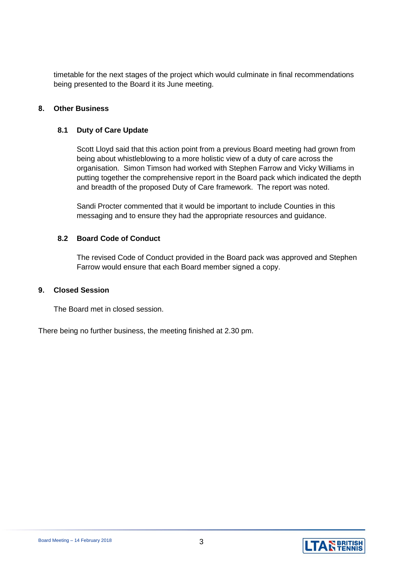timetable for the next stages of the project which would culminate in final recommendations being presented to the Board it its June meeting.

# **8. Other Business**

## **8.1 Duty of Care Update**

Scott Lloyd said that this action point from a previous Board meeting had grown from being about whistleblowing to a more holistic view of a duty of care across the organisation. Simon Timson had worked with Stephen Farrow and Vicky Williams in putting together the comprehensive report in the Board pack which indicated the depth and breadth of the proposed Duty of Care framework. The report was noted.

Sandi Procter commented that it would be important to include Counties in this messaging and to ensure they had the appropriate resources and guidance.

## **8.2 Board Code of Conduct**

The revised Code of Conduct provided in the Board pack was approved and Stephen Farrow would ensure that each Board member signed a copy.

## **9. Closed Session**

The Board met in closed session.

There being no further business, the meeting finished at 2.30 pm.

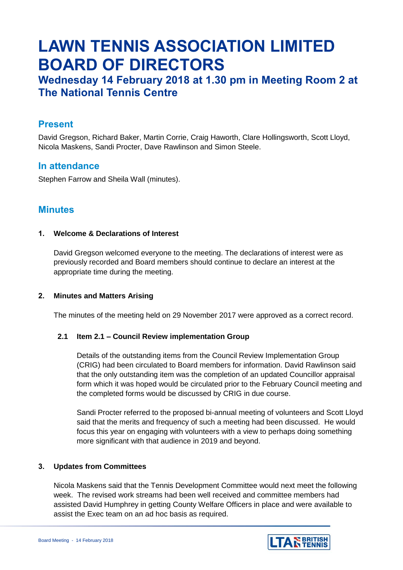# **LAWN TENNIS ASSOCIATION LIMITED BOARD OF DIRECTORS**

# **Wednesday 14 February 2018 at 1.30 pm in Meeting Room 2 at The National Tennis Centre**

# **Present**

David Gregson, Richard Baker, Martin Corrie, Craig Haworth, Clare Hollingsworth, Scott Lloyd, Nicola Maskens, Sandi Procter, Dave Rawlinson and Simon Steele.

# **In attendance**

Stephen Farrow and Sheila Wall (minutes).

# **Minutes**

# **1. Welcome & Declarations of Interest**

David Gregson welcomed everyone to the meeting. The declarations of interest were as previously recorded and Board members should continue to declare an interest at the appropriate time during the meeting.

# **2. Minutes and Matters Arising**

The minutes of the meeting held on 29 November 2017 were approved as a correct record.

## **2.1 Item 2.1 – Council Review implementation Group**

Details of the outstanding items from the Council Review Implementation Group (CRIG) had been circulated to Board members for information. David Rawlinson said that the only outstanding item was the completion of an updated Councillor appraisal form which it was hoped would be circulated prior to the February Council meeting and the completed forms would be discussed by CRIG in due course.

Sandi Procter referred to the proposed bi-annual meeting of volunteers and Scott Lloyd said that the merits and frequency of such a meeting had been discussed. He would focus this year on engaging with volunteers with a view to perhaps doing something more significant with that audience in 2019 and beyond.

## **3. Updates from Committees**

Nicola Maskens said that the Tennis Development Committee would next meet the following week. The revised work streams had been well received and committee members had assisted David Humphrey in getting County Welfare Officers in place and were available to assist the Exec team on an ad hoc basis as required.